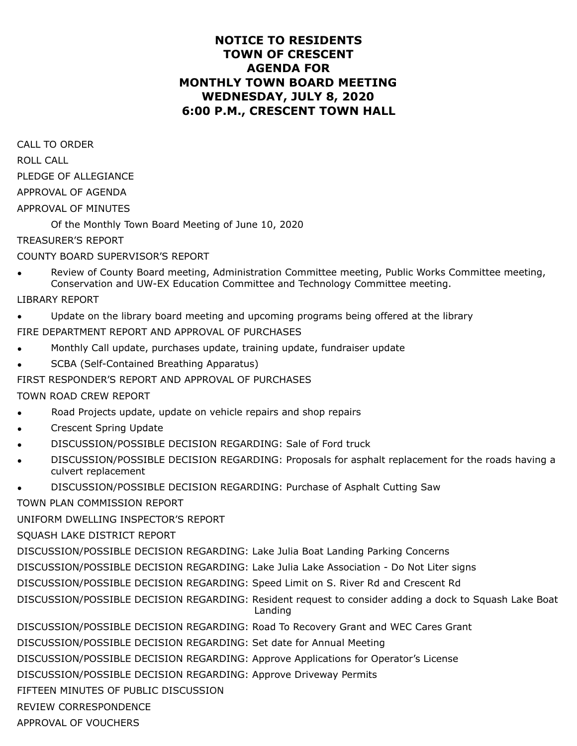## **NOTICE TO RESIDENTS TOWN OF CRESCENT AGENDA FOR MONTHLY TOWN BOARD MEETING WEDNESDAY, JULY 8, 2020 6:00 P.M., CRESCENT TOWN HALL**

CALL TO ORDER ROLL CALL PLEDGE OF ALLEGIANCE APPROVAL OF AGENDA APPROVAL OF MINUTES

Of the Monthly Town Board Meeting of June 10, 2020

TREASURER'S REPORT

COUNTY BOARD SUPERVISOR'S REPORT

- Review of County Board meeting, Administration Committee meeting, Public Works Committee meeting, Conservation and UW-EX Education Committee and Technology Committee meeting.
- LIBRARY REPORT
- Update on the library board meeting and upcoming programs being offered at the library

FIRE DEPARTMENT REPORT AND APPROVAL OF PURCHASES

- Monthly Call update, purchases update, training update, fundraiser update
- SCBA (Self-Contained Breathing Apparatus)

FIRST RESPONDER'S REPORT AND APPROVAL OF PURCHASES

TOWN ROAD CREW REPORT

- Road Projects update, update on vehicle repairs and shop repairs
- Crescent Spring Update
- DISCUSSION/POSSIBLE DECISION REGARDING: Sale of Ford truck
- DISCUSSION/POSSIBLE DECISION REGARDING: Proposals for asphalt replacement for the roads having a culvert replacement
- DISCUSSION/POSSIBLE DECISION REGARDING: Purchase of Asphalt Cutting Saw

TOWN PLAN COMMISSION REPORT

UNIFORM DWELLING INSPECTOR'S REPORT

SQUASH LAKE DISTRICT REPORT

DISCUSSION/POSSIBLE DECISION REGARDING: Lake Julia Boat Landing Parking Concerns

DISCUSSION/POSSIBLE DECISION REGARDING: Lake Julia Lake Association - Do Not Liter signs

DISCUSSION/POSSIBLE DECISION REGARDING: Speed Limit on S. River Rd and Crescent Rd

DISCUSSION/POSSIBLE DECISION REGARDING: Resident request to consider adding a dock to Squash Lake Boat Landing

DISCUSSION/POSSIBLE DECISION REGARDING: Road To Recovery Grant and WEC Cares Grant

DISCUSSION/POSSIBLE DECISION REGARDING: Set date for Annual Meeting

DISCUSSION/POSSIBLE DECISION REGARDING: Approve Applications for Operator's License

DISCUSSION/POSSIBLE DECISION REGARDING: Approve Driveway Permits

FIFTEEN MINUTES OF PUBLIC DISCUSSION

REVIEW CORRESPONDENCE

APPROVAL OF VOUCHERS